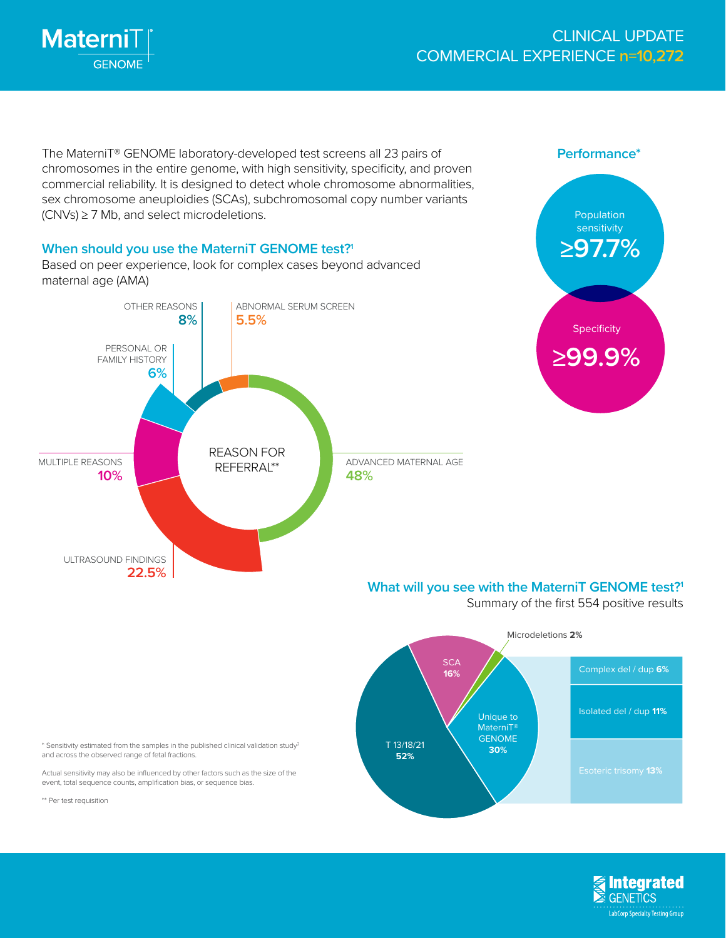

The MaterniT® GENOME laboratory-developed test screens all 23 pairs of chromosomes in the entire genome, with high sensitivity, specificity, and proven commercial reliability. It is designed to detect whole chromosome abnormalities, sex chromosome aneuploidies (SCAs), subchromosomal copy number variants (CNVs) ≥ 7 Mb, and select microdeletions.

**When should you use the MaterniT GENOME test?1** Based on peer experience, look for complex cases beyond advanced maternal age (AMA)





## **What will you see with the MaterniT GENOME test?1**

Summary of the first 554 positive results



\* Sensitivity estimated from the samples in the published clinical validation study2 and across the observed range of fetal fractions.

Actual sensitivity may also be influenced by other factors such as the size of the event, total sequence counts, amplification bias, or sequence bias.

\*\* Per test requisition